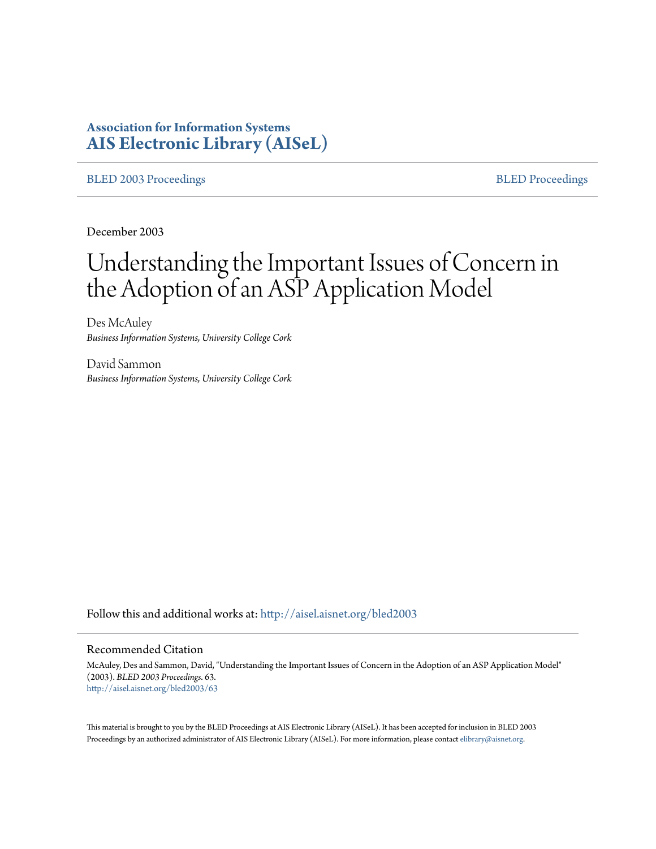# **Association for Information Systems [AIS Electronic Library \(AISeL\)](http://aisel.aisnet.org?utm_source=aisel.aisnet.org%2Fbled2003%2F63&utm_medium=PDF&utm_campaign=PDFCoverPages)**

[BLED 2003 Proceedings](http://aisel.aisnet.org/bled2003?utm_source=aisel.aisnet.org%2Fbled2003%2F63&utm_medium=PDF&utm_campaign=PDFCoverPages) and the state of the state of the [BLED Proceedings](http://aisel.aisnet.org/bled?utm_source=aisel.aisnet.org%2Fbled2003%2F63&utm_medium=PDF&utm_campaign=PDFCoverPages) and the BLED Proceedings and the BLED Proceedings and the BLED Proceedings and the BLED Proceedings and the BLED Proceedings and the BLED Proceedings

December 2003

# Understanding the Important Issues of Concern in the Adoption of an ASP Application Model

Des McAuley *Business Information Systems, University College Cork*

David Sammon *Business Information Systems, University College Cork*

Follow this and additional works at: [http://aisel.aisnet.org/bled2003](http://aisel.aisnet.org/bled2003?utm_source=aisel.aisnet.org%2Fbled2003%2F63&utm_medium=PDF&utm_campaign=PDFCoverPages)

#### Recommended Citation

McAuley, Des and Sammon, David, "Understanding the Important Issues of Concern in the Adoption of an ASP Application Model" (2003). *BLED 2003 Proceedings*. 63. [http://aisel.aisnet.org/bled2003/63](http://aisel.aisnet.org/bled2003/63?utm_source=aisel.aisnet.org%2Fbled2003%2F63&utm_medium=PDF&utm_campaign=PDFCoverPages)

This material is brought to you by the BLED Proceedings at AIS Electronic Library (AISeL). It has been accepted for inclusion in BLED 2003 Proceedings by an authorized administrator of AIS Electronic Library (AISeL). For more information, please contact [elibrary@aisnet.org](mailto:elibrary@aisnet.org%3E).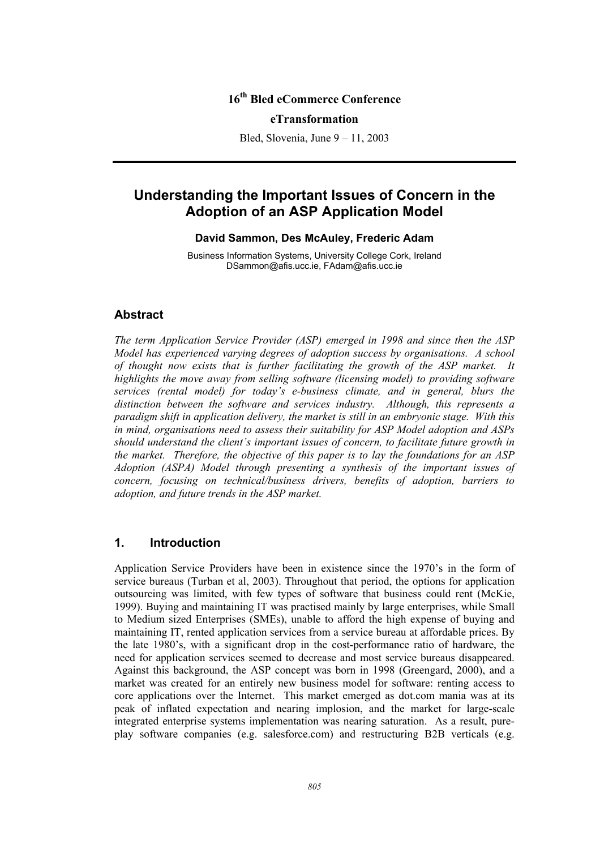## **16th Bled eCommerce Conference**

#### **eTransformation**

Bled, Slovenia, June 9 – 11, 2003

# **Understanding the Important Issues of Concern in the Adoption of an ASP Application Model**

#### **David Sammon, Des McAuley, Frederic Adam**

Business Information Systems, University College Cork, Ireland DSammon@afis.ucc.ie, FAdam@afis.ucc.ie

### **Abstract**

*The term Application Service Provider (ASP) emerged in 1998 and since then the ASP Model has experienced varying degrees of adoption success by organisations. A school of thought now exists that is further facilitating the growth of the ASP market. It highlights the move away from selling software (licensing model) to providing software services (rental model) for today's e-business climate, and in general, blurs the distinction between the software and services industry. Although, this represents a paradigm shift in application delivery, the market is still in an embryonic stage. With this in mind, organisations need to assess their suitability for ASP Model adoption and ASPs should understand the client's important issues of concern, to facilitate future growth in the market. Therefore, the objective of this paper is to lay the foundations for an ASP Adoption (ASPA) Model through presenting a synthesis of the important issues of concern, focusing on technical/business drivers, benefits of adoption, barriers to adoption, and future trends in the ASP market.* 

#### **1. Introduction**

Application Service Providers have been in existence since the 1970's in the form of service bureaus (Turban et al, 2003). Throughout that period, the options for application outsourcing was limited, with few types of software that business could rent (McKie, 1999). Buying and maintaining IT was practised mainly by large enterprises, while Small to Medium sized Enterprises (SMEs), unable to afford the high expense of buying and maintaining IT, rented application services from a service bureau at affordable prices. By the late 1980's, with a significant drop in the cost-performance ratio of hardware, the need for application services seemed to decrease and most service bureaus disappeared. Against this background, the ASP concept was born in 1998 (Greengard, 2000), and a market was created for an entirely new business model for software: renting access to core applications over the Internet. This market emerged as dot.com mania was at its peak of inflated expectation and nearing implosion, and the market for large-scale integrated enterprise systems implementation was nearing saturation. As a result, pureplay software companies (e.g. salesforce.com) and restructuring B2B verticals (e.g.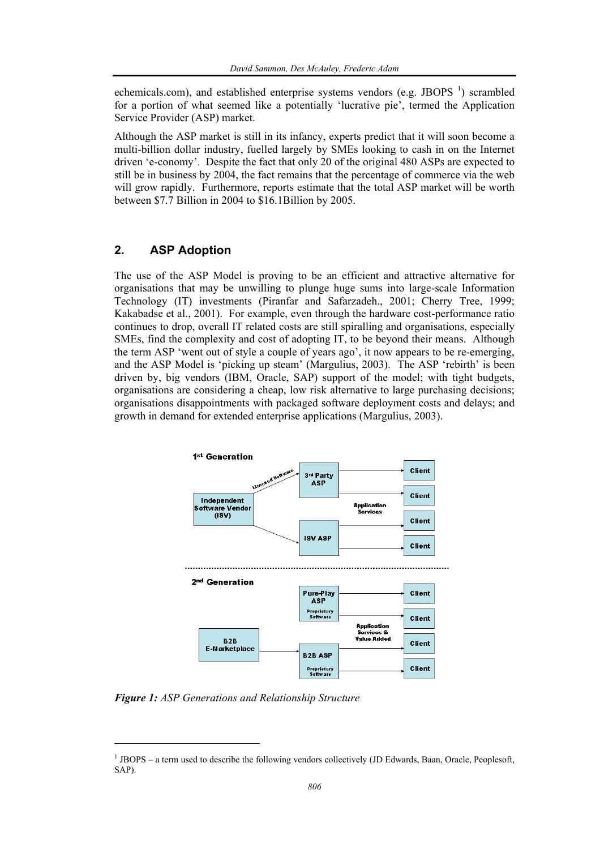echemicals.com), and established enterprise systems vendors (e.g. JBOPS $<sup>1</sup>$ ) scrambled</sup> for a portion of what seemed like a potentially 'lucrative pie', termed the Application Service Provider (ASP) market.

Although the ASP market is still in its infancy, experts predict that it will soon become a multi-billion dollar industry, fuelled largely by SMEs looking to cash in on the Internet driven 'e-conomy'. Despite the fact that only 20 of the original 480 ASPs are expected to still be in business by 2004, the fact remains that the percentage of commerce via the web will grow rapidly. Furthermore, reports estimate that the total ASP market will be worth between \$7.7 Billion in 2004 to \$16.1Billion by 2005.

# **2. ASP Adoption**

The use of the ASP Model is proving to be an efficient and attractive alternative for organisations that may be unwilling to plunge huge sums into large-scale Information Technology (IT) investments (Piranfar and Safarzadeh., 2001; Cherry Tree, 1999; Kakabadse et al., 2001). For example, even through the hardware cost-performance ratio continues to drop, overall IT related costs are still spiralling and organisations, especially SMEs, find the complexity and cost of adopting IT, to be beyond their means. Although the term ASP 'went out of style a couple of years ago', it now appears to be re-emerging, and the ASP Model is 'picking up steam' (Margulius, 2003). The ASP 'rebirth' is been driven by, big vendors (IBM, Oracle, SAP) support of the model; with tight budgets, organisations are considering a cheap, low risk alternative to large purchasing decisions; organisations disappointments with packaged software deployment costs and delays; and growth in demand for extended enterprise applications (Margulius, 2003).



*Figure 1: ASP Generations and Relationship Structure* 

l

<sup>&</sup>lt;sup>1</sup> JBOPS – a term used to describe the following vendors collectively (JD Edwards, Baan, Oracle, Peoplesoft, SAP).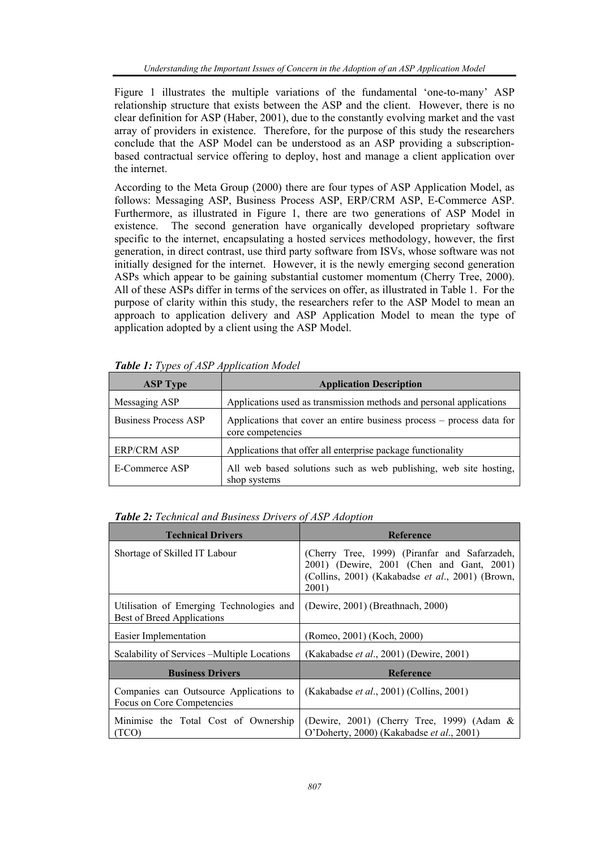Figure 1 illustrates the multiple variations of the fundamental 'one-to-many' ASP relationship structure that exists between the ASP and the client. However, there is no clear definition for ASP (Haber, 2001), due to the constantly evolving market and the vast array of providers in existence. Therefore, for the purpose of this study the researchers conclude that the ASP Model can be understood as an ASP providing a subscriptionbased contractual service offering to deploy, host and manage a client application over the internet.

According to the Meta Group (2000) there are four types of ASP Application Model, as follows: Messaging ASP, Business Process ASP, ERP/CRM ASP, E-Commerce ASP. Furthermore, as illustrated in Figure 1, there are two generations of ASP Model in existence. The second generation have organically developed proprietary software specific to the internet, encapsulating a hosted services methodology, however, the first generation, in direct contrast, use third party software from ISVs, whose software was not initially designed for the internet. However, it is the newly emerging second generation ASPs which appear to be gaining substantial customer momentum (Cherry Tree, 2000). All of these ASPs differ in terms of the services on offer, as illustrated in Table 1. For the purpose of clarity within this study, the researchers refer to the ASP Model to mean an approach to application delivery and ASP Application Model to mean the type of application adopted by a client using the ASP Model.

| <b>ASP Type</b>             | <b>Application Description</b>                                                             |
|-----------------------------|--------------------------------------------------------------------------------------------|
| Messaging ASP               | Applications used as transmission methods and personal applications                        |
| <b>Business Process ASP</b> | Applications that cover an entire business process – process data for<br>core competencies |
| <b>ERP/CRM ASP</b>          | Applications that offer all enterprise package functionality                               |
| E-Commerce ASP              | All web based solutions such as web publishing, web site hosting,<br>shop systems          |

*Table 1: Types of ASP Application Model* 

| <b>Table 2:</b> Technical and Business Drivers of ASP Adoption |  |  |  |
|----------------------------------------------------------------|--|--|--|
|----------------------------------------------------------------|--|--|--|

| <b>Technical Drivers</b>                                               | <b>Reference</b>                                                                                                                                        |
|------------------------------------------------------------------------|---------------------------------------------------------------------------------------------------------------------------------------------------------|
| Shortage of Skilled IT Labour                                          | (Cherry Tree, 1999) (Piranfar and Safarzadeh,<br>2001) (Dewire, 2001 (Chen and Gant, 2001)<br>(Collins, 2001) (Kakabadse et al., 2001) (Brown,<br>2001) |
| Utilisation of Emerging Technologies and<br>Best of Breed Applications | (Dewire, 2001) (Breathnach, 2000)                                                                                                                       |
| Easier Implementation                                                  | (Romeo, 2001) (Koch, 2000)                                                                                                                              |
| Scalability of Services – Multiple Locations                           | (Kakabadse et al., 2001) (Dewire, 2001)                                                                                                                 |
| <b>Business Drivers</b>                                                | <b>Reference</b>                                                                                                                                        |
| Companies can Outsource Applications to<br>Focus on Core Competencies  | (Kakabadse <i>et al.</i> , 2001) (Collins, 2001)                                                                                                        |
| Minimise the Total Cost of Ownership<br>(TCO)                          | (Dewire, 2001) (Cherry Tree, 1999) (Adam $\&$<br>O'Doherty, 2000) (Kakabadse et al., 2001)                                                              |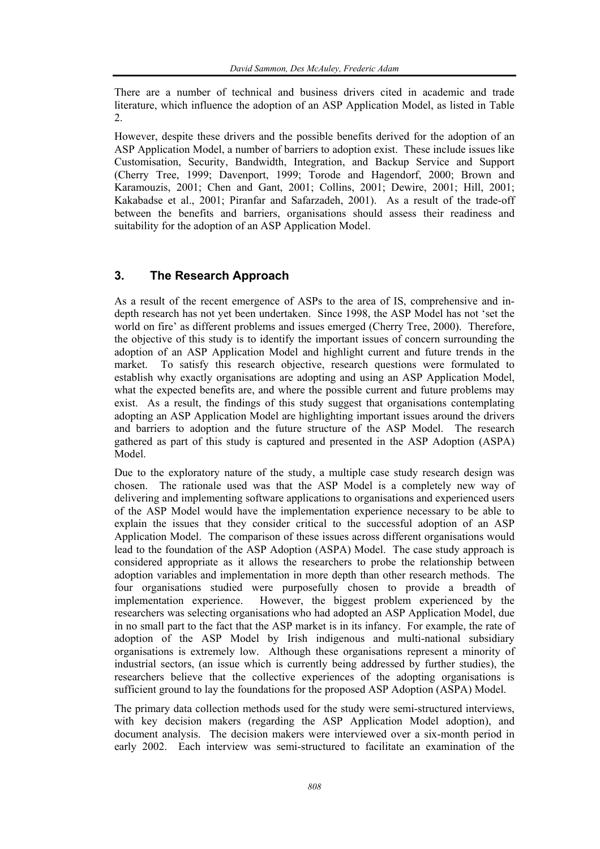There are a number of technical and business drivers cited in academic and trade literature, which influence the adoption of an ASP Application Model, as listed in Table 2.

However, despite these drivers and the possible benefits derived for the adoption of an ASP Application Model, a number of barriers to adoption exist. These include issues like Customisation, Security, Bandwidth, Integration, and Backup Service and Support (Cherry Tree, 1999; Davenport, 1999; Torode and Hagendorf, 2000; Brown and Karamouzis, 2001; Chen and Gant, 2001; Collins, 2001; Dewire, 2001; Hill, 2001; Kakabadse et al., 2001; Piranfar and Safarzadeh, 2001). As a result of the trade-off between the benefits and barriers, organisations should assess their readiness and suitability for the adoption of an ASP Application Model.

# **3. The Research Approach**

As a result of the recent emergence of ASPs to the area of IS, comprehensive and indepth research has not yet been undertaken. Since 1998, the ASP Model has not 'set the world on fire' as different problems and issues emerged (Cherry Tree, 2000). Therefore, the objective of this study is to identify the important issues of concern surrounding the adoption of an ASP Application Model and highlight current and future trends in the market. To satisfy this research objective, research questions were formulated to establish why exactly organisations are adopting and using an ASP Application Model, what the expected benefits are, and where the possible current and future problems may exist. As a result, the findings of this study suggest that organisations contemplating adopting an ASP Application Model are highlighting important issues around the drivers and barriers to adoption and the future structure of the ASP Model. The research gathered as part of this study is captured and presented in the ASP Adoption (ASPA) Model.

Due to the exploratory nature of the study, a multiple case study research design was chosen. The rationale used was that the ASP Model is a completely new way of delivering and implementing software applications to organisations and experienced users of the ASP Model would have the implementation experience necessary to be able to explain the issues that they consider critical to the successful adoption of an ASP Application Model. The comparison of these issues across different organisations would lead to the foundation of the ASP Adoption (ASPA) Model. The case study approach is considered appropriate as it allows the researchers to probe the relationship between adoption variables and implementation in more depth than other research methods. The four organisations studied were purposefully chosen to provide a breadth of implementation experience. However, the biggest problem experienced by the researchers was selecting organisations who had adopted an ASP Application Model, due in no small part to the fact that the ASP market is in its infancy. For example, the rate of adoption of the ASP Model by Irish indigenous and multi-national subsidiary organisations is extremely low. Although these organisations represent a minority of industrial sectors, (an issue which is currently being addressed by further studies), the researchers believe that the collective experiences of the adopting organisations is sufficient ground to lay the foundations for the proposed ASP Adoption (ASPA) Model.

The primary data collection methods used for the study were semi-structured interviews, with key decision makers (regarding the ASP Application Model adoption), and document analysis. The decision makers were interviewed over a six-month period in early 2002. Each interview was semi-structured to facilitate an examination of the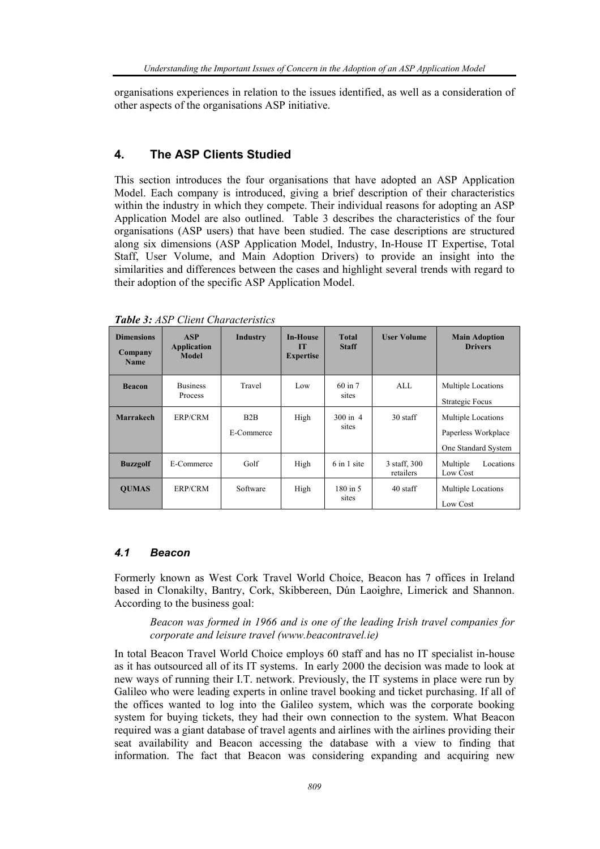organisations experiences in relation to the issues identified, as well as a consideration of other aspects of the organisations ASP initiative.

### **4. The ASP Clients Studied**

This section introduces the four organisations that have adopted an ASP Application Model. Each company is introduced, giving a brief description of their characteristics within the industry in which they compete. Their individual reasons for adopting an ASP Application Model are also outlined. Table 3 describes the characteristics of the four organisations (ASP users) that have been studied. The case descriptions are structured along six dimensions (ASP Application Model, Industry, In-House IT Expertise, Total Staff, User Volume, and Main Adoption Drivers) to provide an insight into the similarities and differences between the cases and highlight several trends with regard to their adoption of the specific ASP Application Model.

| <b>Dimensions</b><br>Company<br><b>Name</b> | <b>ASP</b><br><b>Application</b><br><b>Model</b> | Industry          | <b>In-House</b><br>m<br><b>Expertise</b> | <b>Total</b><br><b>Staff</b> | <b>User Volume</b>        | <b>Main Adoption</b><br><b>Drivers</b>                           |
|---------------------------------------------|--------------------------------------------------|-------------------|------------------------------------------|------------------------------|---------------------------|------------------------------------------------------------------|
| <b>Beacon</b>                               | <b>Business</b><br><b>Process</b>                | Travel            | Low                                      | $60$ in $7$<br>sites         | AI.                       | <b>Multiple Locations</b><br><b>Strategic Focus</b>              |
| <b>Marrakech</b>                            | ERP/CRM                                          | B2B<br>E-Commerce | High                                     | $300 \text{ in } 4$<br>sites | 30 staff                  | Multiple Locations<br>Paperless Workplace<br>One Standard System |
| <b>Buzzgolf</b>                             | E-Commerce                                       | Golf              | High                                     | 6 in 1 site                  | 3 staff, 300<br>retailers | Multiple<br>Locations<br>Low Cost                                |
| <b>OUMAS</b>                                | ERP/CRM                                          | Software          | High                                     | 180 in 5<br>sites            | 40 staff                  | <b>Multiple Locations</b><br>Low Cost                            |

*Table 3: ASP Client Characteristics* 

#### *4.1 Beacon*

Formerly known as West Cork Travel World Choice, Beacon has 7 offices in Ireland based in Clonakilty, Bantry, Cork, Skibbereen, Dún Laoighre, Limerick and Shannon. According to the business goal:

*Beacon was formed in 1966 and is one of the leading Irish travel companies for corporate and leisure travel (www.beacontravel.ie)* 

In total Beacon Travel World Choice employs 60 staff and has no IT specialist in-house as it has outsourced all of its IT systems. In early 2000 the decision was made to look at new ways of running their I.T. network. Previously, the IT systems in place were run by Galileo who were leading experts in online travel booking and ticket purchasing. If all of the offices wanted to log into the Galileo system, which was the corporate booking system for buying tickets, they had their own connection to the system. What Beacon required was a giant database of travel agents and airlines with the airlines providing their seat availability and Beacon accessing the database with a view to finding that information. The fact that Beacon was considering expanding and acquiring new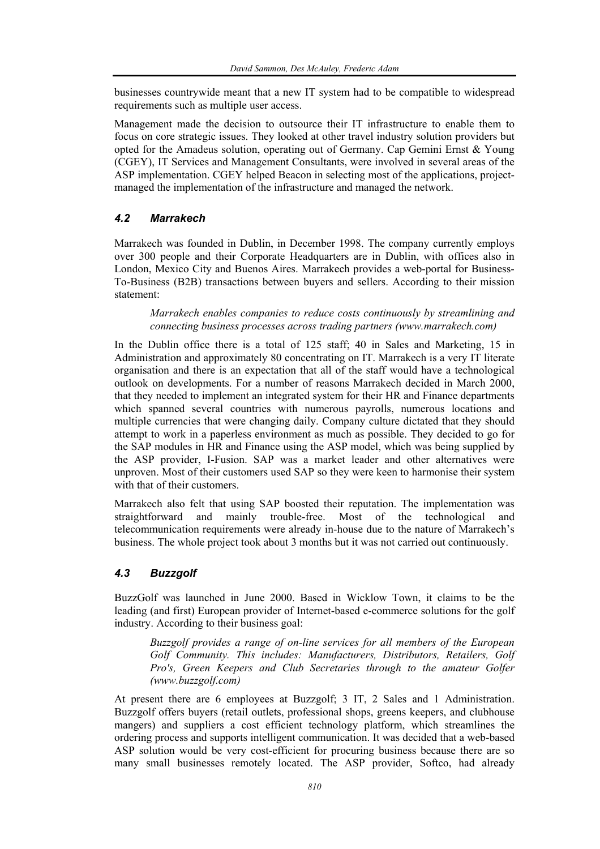businesses countrywide meant that a new IT system had to be compatible to widespread requirements such as multiple user access.

Management made the decision to outsource their IT infrastructure to enable them to focus on core strategic issues. They looked at other travel industry solution providers but opted for the Amadeus solution, operating out of Germany. Cap Gemini Ernst & Young (CGEY), IT Services and Management Consultants, were involved in several areas of the ASP implementation. CGEY helped Beacon in selecting most of the applications, projectmanaged the implementation of the infrastructure and managed the network.

### *4.2 Marrakech*

Marrakech was founded in Dublin, in December 1998. The company currently employs over 300 people and their Corporate Headquarters are in Dublin, with offices also in London, Mexico City and Buenos Aires. Marrakech provides a web-portal for Business-To-Business (B2B) transactions between buyers and sellers. According to their mission statement:

*Marrakech enables companies to reduce costs continuously by streamlining and connecting business processes across trading partners (www.marrakech.com)* 

In the Dublin office there is a total of 125 staff; 40 in Sales and Marketing, 15 in Administration and approximately 80 concentrating on IT. Marrakech is a very IT literate organisation and there is an expectation that all of the staff would have a technological outlook on developments. For a number of reasons Marrakech decided in March 2000, that they needed to implement an integrated system for their HR and Finance departments which spanned several countries with numerous payrolls, numerous locations and multiple currencies that were changing daily. Company culture dictated that they should attempt to work in a paperless environment as much as possible. They decided to go for the SAP modules in HR and Finance using the ASP model, which was being supplied by the ASP provider, I-Fusion. SAP was a market leader and other alternatives were unproven. Most of their customers used SAP so they were keen to harmonise their system with that of their customers.

Marrakech also felt that using SAP boosted their reputation. The implementation was straightforward and mainly trouble-free. Most of the technological and telecommunication requirements were already in-house due to the nature of Marrakech's business. The whole project took about 3 months but it was not carried out continuously.

## *4.3 Buzzgolf*

BuzzGolf was launched in June 2000. Based in Wicklow Town, it claims to be the leading (and first) European provider of Internet-based e-commerce solutions for the golf industry. According to their business goal:

*Buzzgolf provides a range of on-line services for all members of the European Golf Community. This includes: Manufacturers, Distributors, Retailers, Golf Pro's, Green Keepers and Club Secretaries through to the amateur Golfer (www.buzzgolf.com)* 

At present there are 6 employees at Buzzgolf; 3 IT, 2 Sales and 1 Administration. Buzzgolf offers buyers (retail outlets, professional shops, greens keepers, and clubhouse mangers) and suppliers a cost efficient technology platform, which streamlines the ordering process and supports intelligent communication. It was decided that a web-based ASP solution would be very cost-efficient for procuring business because there are so many small businesses remotely located. The ASP provider, Softco, had already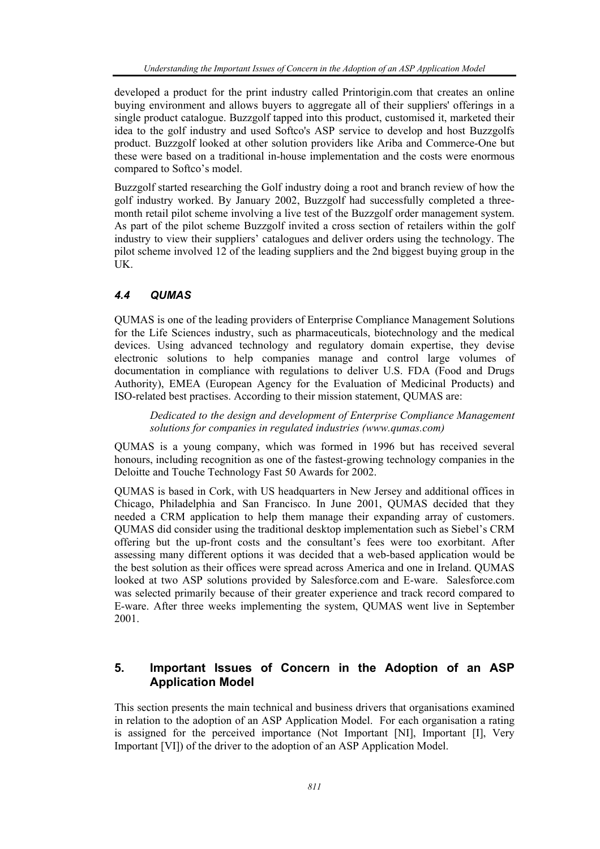developed a product for the print industry called Printorigin.com that creates an online buying environment and allows buyers to aggregate all of their suppliers' offerings in a single product catalogue. Buzzgolf tapped into this product, customised it, marketed their idea to the golf industry and used Softco's ASP service to develop and host Buzzgolfs product. Buzzgolf looked at other solution providers like Ariba and Commerce-One but these were based on a traditional in-house implementation and the costs were enormous compared to Softco's model.

Buzzgolf started researching the Golf industry doing a root and branch review of how the golf industry worked. By January 2002, Buzzgolf had successfully completed a threemonth retail pilot scheme involving a live test of the Buzzgolf order management system. As part of the pilot scheme Buzzgolf invited a cross section of retailers within the golf industry to view their suppliers' catalogues and deliver orders using the technology. The pilot scheme involved 12 of the leading suppliers and the 2nd biggest buying group in the UK.

## *4.4 QUMAS*

QUMAS is one of the leading providers of Enterprise Compliance Management Solutions for the Life Sciences industry, such as pharmaceuticals, biotechnology and the medical devices. Using advanced technology and regulatory domain expertise, they devise electronic solutions to help companies manage and control large volumes of documentation in compliance with regulations to deliver U.S. FDA (Food and Drugs Authority), EMEA (European Agency for the Evaluation of Medicinal Products) and ISO-related best practises. According to their mission statement, QUMAS are:

*Dedicated to the design and development of Enterprise Compliance Management solutions for companies in regulated industries (www.qumas.com)* 

QUMAS is a young company, which was formed in 1996 but has received several honours, including recognition as one of the fastest-growing technology companies in the Deloitte and Touche Technology Fast 50 Awards for 2002.

QUMAS is based in Cork, with US headquarters in New Jersey and additional offices in Chicago, Philadelphia and San Francisco. In June 2001, QUMAS decided that they needed a CRM application to help them manage their expanding array of customers. QUMAS did consider using the traditional desktop implementation such as Siebel's CRM offering but the up-front costs and the consultant's fees were too exorbitant. After assessing many different options it was decided that a web-based application would be the best solution as their offices were spread across America and one in Ireland. QUMAS looked at two ASP solutions provided by Salesforce.com and E-ware. Salesforce.com was selected primarily because of their greater experience and track record compared to E-ware. After three weeks implementing the system, QUMAS went live in September 2001.

# **5. Important Issues of Concern in the Adoption of an ASP Application Model**

This section presents the main technical and business drivers that organisations examined in relation to the adoption of an ASP Application Model. For each organisation a rating is assigned for the perceived importance (Not Important [NI], Important [I], Very Important [VI]) of the driver to the adoption of an ASP Application Model.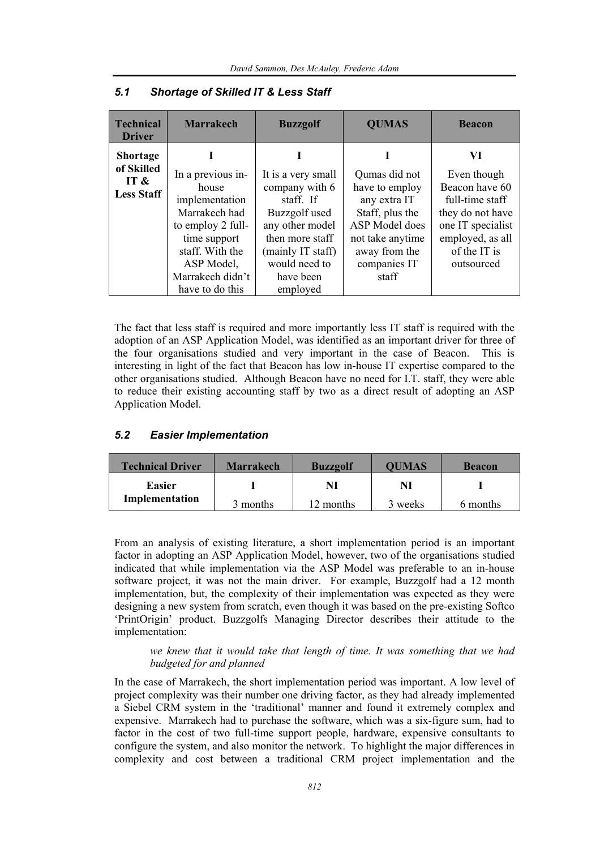| <b>Technical</b><br><b>Driver</b> | <b>Marrakech</b>        | <b>Buzzgolf</b>             | <b>QUMAS</b>                   | <b>Beacon</b>                     |
|-----------------------------------|-------------------------|-----------------------------|--------------------------------|-----------------------------------|
| <b>Shortage</b><br>of Skilled     |                         |                             |                                | VI                                |
| IT $\&$                           | In a previous in-       | It is a very small          | Qumas did not                  | Even though                       |
| <b>Less Staff</b>                 | house<br>implementation | company with 6<br>staff. If | have to employ<br>any extra IT | Beacon have 60<br>full-time staff |
|                                   | Marrakech had           | Buzzgolf used               | Staff, plus the                | they do not have                  |
|                                   | to employ 2 full-       | any other model             | ASP Model does                 | one IT specialist                 |
|                                   | time support            | then more staff             | not take anytime               | employed, as all                  |
|                                   | staff. With the         | (mainly IT staff)           | away from the                  | of the IT is                      |
|                                   | ASP Model,              | would need to               | companies IT                   | outsourced                        |
|                                   | Marrakech didn't        | have been                   | staff                          |                                   |
|                                   | have to do this         | employed                    |                                |                                   |

#### *5.1 Shortage of Skilled IT & Less Staff*

The fact that less staff is required and more importantly less IT staff is required with the adoption of an ASP Application Model, was identified as an important driver for three of the four organisations studied and very important in the case of Beacon. This is interesting in light of the fact that Beacon has low in-house IT expertise compared to the other organisations studied. Although Beacon have no need for I.T. staff, they were able to reduce their existing accounting staff by two as a direct result of adopting an ASP Application Model.

#### *5.2 Easier Implementation*

| <b>Technical Driver</b> | <b>Marrakech</b> | <b>Buzzgolf</b> | <b>OUMAS</b> | <b>Beacon</b> |
|-------------------------|------------------|-----------------|--------------|---------------|
| Easier                  |                  | NI              | Nl           |               |
| Implementation          | 3 months         | 12 months       | 3 weeks      | 6 months      |

From an analysis of existing literature, a short implementation period is an important factor in adopting an ASP Application Model, however, two of the organisations studied indicated that while implementation via the ASP Model was preferable to an in-house software project, it was not the main driver. For example, Buzzgolf had a 12 month implementation, but, the complexity of their implementation was expected as they were designing a new system from scratch, even though it was based on the pre-existing Softco 'PrintOrigin' product. Buzzgolfs Managing Director describes their attitude to the implementation:

*we knew that it would take that length of time. It was something that we had budgeted for and planned* 

In the case of Marrakech, the short implementation period was important. A low level of project complexity was their number one driving factor, as they had already implemented a Siebel CRM system in the 'traditional' manner and found it extremely complex and expensive. Marrakech had to purchase the software, which was a six-figure sum, had to factor in the cost of two full-time support people, hardware, expensive consultants to configure the system, and also monitor the network. To highlight the major differences in complexity and cost between a traditional CRM project implementation and the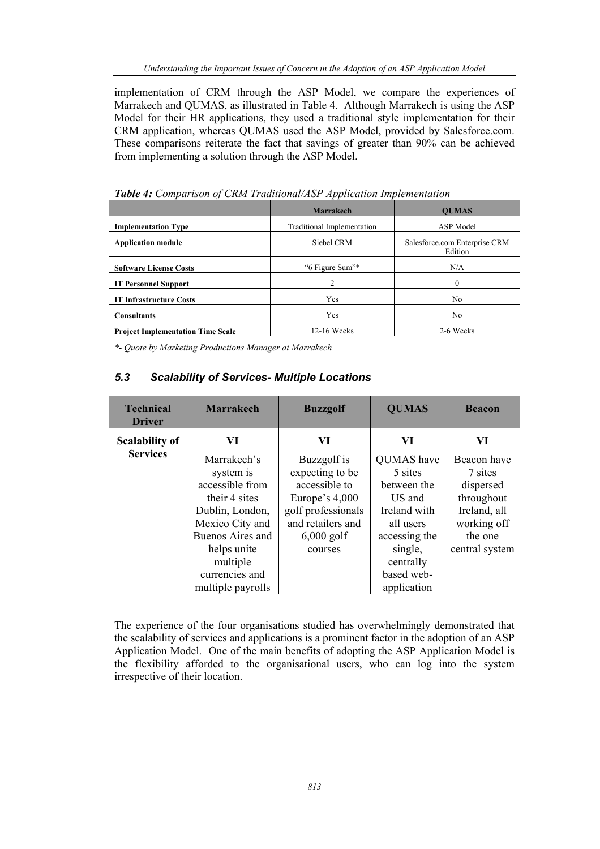implementation of CRM through the ASP Model, we compare the experiences of Marrakech and QUMAS, as illustrated in Table 4. Although Marrakech is using the ASP Model for their HR applications, they used a traditional style implementation for their CRM application, whereas QUMAS used the ASP Model, provided by Salesforce.com. These comparisons reiterate the fact that savings of greater than 90% can be achieved from implementing a solution through the ASP Model.

|                                          | Marrakech                  | <b>OUMAS</b>                             |
|------------------------------------------|----------------------------|------------------------------------------|
| <b>Implementation Type</b>               | Traditional Implementation | ASP Model                                |
| <b>Application module</b>                | Siebel CRM                 | Salesforce.com Enterprise CRM<br>Edition |
| <b>Software License Costs</b>            | "6 Figure Sum"*            | N/A                                      |
| <b>IT Personnel Support</b>              | 2                          |                                          |
| <b>IT Infrastructure Costs</b>           | Yes                        | No                                       |
| <b>Consultants</b>                       | Yes                        | No                                       |
| <b>Project Implementation Time Scale</b> | 12-16 Weeks                | 2-6 Weeks                                |

*Table 4: Comparison of CRM Traditional/ASP Application Implementation* 

*\*- Quote by Marketing Productions Manager at Marrakech* 

## *5.3 Scalability of Services- Multiple Locations*

| <b>Technical</b><br><b>Driver</b> | <b>Marrakech</b>  | <b>Buzzgolf</b>    | <b>QUMAS</b>  | <b>Beacon</b>  |
|-----------------------------------|-------------------|--------------------|---------------|----------------|
| <b>Scalability of</b>             | VI                | VI                 | VI            | VI             |
| <b>Services</b>                   | Marrakech's       | Buzzgolf is        | QUMAS have    | Beacon have    |
|                                   | system is         | expecting to be    | 5 sites       | 7 sites        |
|                                   | accessible from   | accessible to      | between the   | dispersed      |
|                                   | their 4 sites     | Europe's $4,000$   | US and        | throughout     |
|                                   | Dublin, London,   | golf professionals | Ireland with  | Ireland, all   |
|                                   | Mexico City and   | and retailers and  | all users     | working off    |
|                                   | Buenos Aires and  | $6,000$ golf       | accessing the | the one        |
|                                   | helps unite       | courses            | single,       | central system |
|                                   | multiple          |                    | centrally     |                |
|                                   | currencies and    |                    | based web-    |                |
|                                   | multiple payrolls |                    | application   |                |

The experience of the four organisations studied has overwhelmingly demonstrated that the scalability of services and applications is a prominent factor in the adoption of an ASP Application Model. One of the main benefits of adopting the ASP Application Model is the flexibility afforded to the organisational users, who can log into the system irrespective of their location.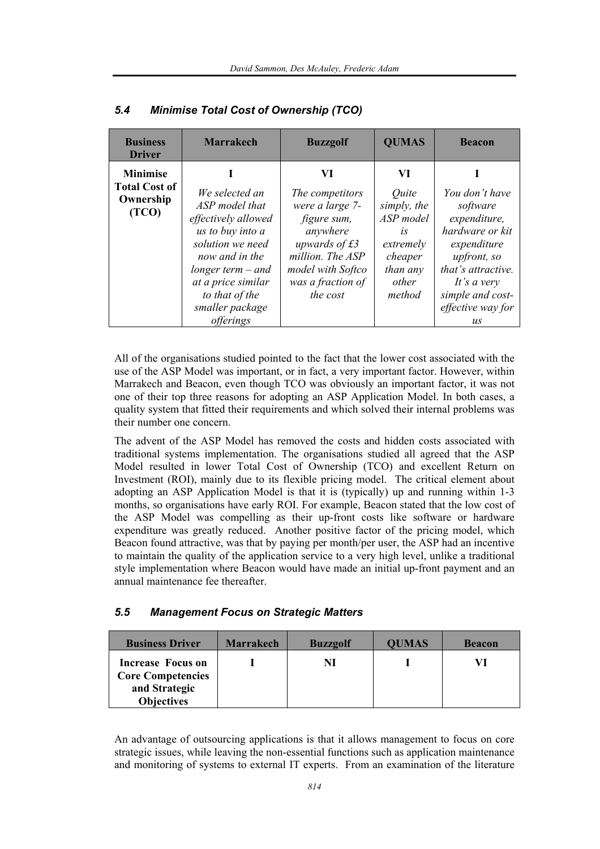| <b>Business</b><br><b>Driver</b>                              | <b>Marrakech</b>                                                                                                                                                                                    | <b>Buzzgolf</b>                                                                                                                                                  | <b>QUMAS</b>                                                                                                       | <b>Beacon</b>                                                                                                                                                             |
|---------------------------------------------------------------|-----------------------------------------------------------------------------------------------------------------------------------------------------------------------------------------------------|------------------------------------------------------------------------------------------------------------------------------------------------------------------|--------------------------------------------------------------------------------------------------------------------|---------------------------------------------------------------------------------------------------------------------------------------------------------------------------|
| <b>Minimise</b><br><b>Total Cost of</b><br>Ownership<br>(TCO) | We selected an<br>ASP model that<br>effectively allowed<br>us to buy into a<br>solution we need<br>now and in the<br>longer term $-$ and<br>at a price similar<br>to that of the<br>smaller package | VI<br>The competitors<br>were a large 7-<br>figure sum,<br>anywhere<br>upwards of $£3$<br>million. The ASP<br>model with Softco<br>was a fraction of<br>the cost | VI<br><i><u>Ouite</u></i><br>simply, the<br>ASP model<br>1S<br>extremely<br>cheaper<br>than any<br>other<br>method | You don't have<br>software<br>expenditure,<br>hardware or kit<br>expenditure<br>upfront, so<br>that's attractive.<br>It's a very<br>simple and cost-<br>effective way for |
|                                                               | <i>offerings</i>                                                                                                                                                                                    |                                                                                                                                                                  |                                                                                                                    | $\iota$                                                                                                                                                                   |

#### *5.4 Minimise Total Cost of Ownership (TCO)*

All of the organisations studied pointed to the fact that the lower cost associated with the use of the ASP Model was important, or in fact, a very important factor. However, within Marrakech and Beacon, even though TCO was obviously an important factor, it was not one of their top three reasons for adopting an ASP Application Model. In both cases, a quality system that fitted their requirements and which solved their internal problems was their number one concern.

The advent of the ASP Model has removed the costs and hidden costs associated with traditional systems implementation. The organisations studied all agreed that the ASP Model resulted in lower Total Cost of Ownership (TCO) and excellent Return on Investment (ROI), mainly due to its flexible pricing model. The critical element about adopting an ASP Application Model is that it is (typically) up and running within 1-3 months, so organisations have early ROI. For example, Beacon stated that the low cost of the ASP Model was compelling as their up-front costs like software or hardware expenditure was greatly reduced. Another positive factor of the pricing model, which Beacon found attractive, was that by paying per month/per user, the ASP had an incentive to maintain the quality of the application service to a very high level, unlike a traditional style implementation where Beacon would have made an initial up-front payment and an annual maintenance fee thereafter.

#### *5.5 Management Focus on Strategic Matters*

| <b>Business Driver</b>   | <b>Marrakech</b> | <b>Buzzgolf</b> | <b>QUMAS</b> | <b>Beacon</b> |
|--------------------------|------------------|-----------------|--------------|---------------|
| Increase Focus on        |                  | NI              |              | VI            |
| <b>Core Competencies</b> |                  |                 |              |               |
| and Strategic            |                  |                 |              |               |
| <b>Objectives</b>        |                  |                 |              |               |

An advantage of outsourcing applications is that it allows management to focus on core strategic issues, while leaving the non-essential functions such as application maintenance and monitoring of systems to external IT experts. From an examination of the literature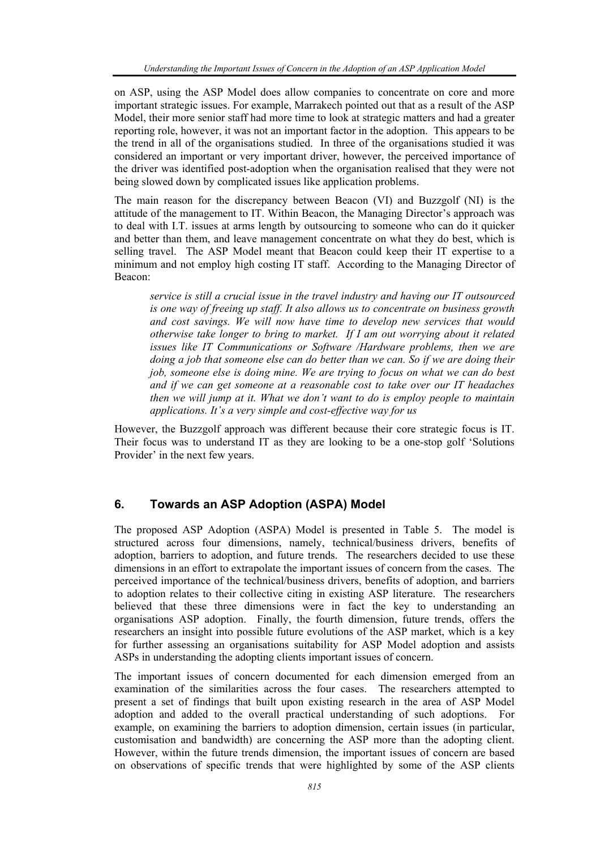on ASP, using the ASP Model does allow companies to concentrate on core and more important strategic issues. For example, Marrakech pointed out that as a result of the ASP Model, their more senior staff had more time to look at strategic matters and had a greater reporting role, however, it was not an important factor in the adoption. This appears to be the trend in all of the organisations studied. In three of the organisations studied it was considered an important or very important driver, however, the perceived importance of the driver was identified post-adoption when the organisation realised that they were not being slowed down by complicated issues like application problems.

The main reason for the discrepancy between Beacon (VI) and Buzzgolf (NI) is the attitude of the management to IT. Within Beacon, the Managing Director's approach was to deal with I.T. issues at arms length by outsourcing to someone who can do it quicker and better than them, and leave management concentrate on what they do best, which is selling travel. The ASP Model meant that Beacon could keep their IT expertise to a minimum and not employ high costing IT staff. According to the Managing Director of Beacon:

*service is still a crucial issue in the travel industry and having our IT outsourced is one way of freeing up staff. It also allows us to concentrate on business growth and cost savings. We will now have time to develop new services that would otherwise take longer to bring to market. If I am out worrying about it related issues like IT Communications or Software /Hardware problems, then we are doing a job that someone else can do better than we can. So if we are doing their job, someone else is doing mine. We are trying to focus on what we can do best and if we can get someone at a reasonable cost to take over our IT headaches then we will jump at it. What we don't want to do is employ people to maintain applications. It's a very simple and cost-effective way for us* 

However, the Buzzgolf approach was different because their core strategic focus is IT. Their focus was to understand IT as they are looking to be a one-stop golf 'Solutions Provider' in the next few years.

## **6. Towards an ASP Adoption (ASPA) Model**

The proposed ASP Adoption (ASPA) Model is presented in Table 5. The model is structured across four dimensions, namely, technical/business drivers, benefits of adoption, barriers to adoption, and future trends. The researchers decided to use these dimensions in an effort to extrapolate the important issues of concern from the cases. The perceived importance of the technical/business drivers, benefits of adoption, and barriers to adoption relates to their collective citing in existing ASP literature. The researchers believed that these three dimensions were in fact the key to understanding an organisations ASP adoption. Finally, the fourth dimension, future trends, offers the researchers an insight into possible future evolutions of the ASP market, which is a key for further assessing an organisations suitability for ASP Model adoption and assists ASPs in understanding the adopting clients important issues of concern.

The important issues of concern documented for each dimension emerged from an examination of the similarities across the four cases. The researchers attempted to present a set of findings that built upon existing research in the area of ASP Model adoption and added to the overall practical understanding of such adoptions. For example, on examining the barriers to adoption dimension, certain issues (in particular, customisation and bandwidth) are concerning the ASP more than the adopting client. However, within the future trends dimension, the important issues of concern are based on observations of specific trends that were highlighted by some of the ASP clients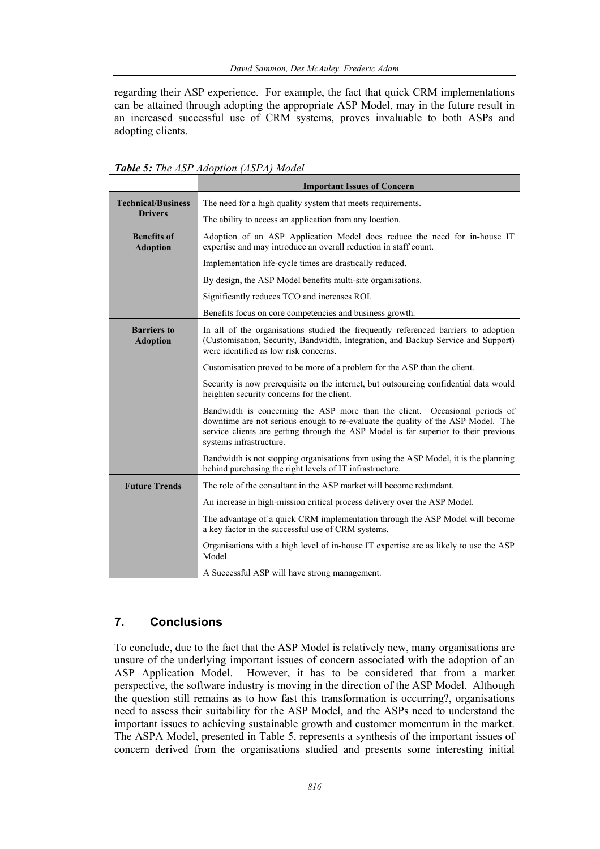regarding their ASP experience. For example, the fact that quick CRM implementations can be attained through adopting the appropriate ASP Model, may in the future result in an increased successful use of CRM systems, proves invaluable to both ASPs and adopting clients.

|                                       | <b>Important Issues of Concern</b>                                                                                                                                                                                                                                                |  |
|---------------------------------------|-----------------------------------------------------------------------------------------------------------------------------------------------------------------------------------------------------------------------------------------------------------------------------------|--|
| <b>Technical/Business</b>             | The need for a high quality system that meets requirements.                                                                                                                                                                                                                       |  |
| <b>Drivers</b>                        | The ability to access an application from any location.                                                                                                                                                                                                                           |  |
| <b>Benefits of</b><br><b>Adoption</b> | Adoption of an ASP Application Model does reduce the need for in-house IT<br>expertise and may introduce an overall reduction in staff count.                                                                                                                                     |  |
|                                       | Implementation life-cycle times are drastically reduced.                                                                                                                                                                                                                          |  |
|                                       | By design, the ASP Model benefits multi-site organisations.                                                                                                                                                                                                                       |  |
|                                       | Significantly reduces TCO and increases ROI.                                                                                                                                                                                                                                      |  |
|                                       | Benefits focus on core competencies and business growth.                                                                                                                                                                                                                          |  |
| <b>Barriers to</b><br><b>Adoption</b> | In all of the organisations studied the frequently referenced barriers to adoption<br>(Customisation, Security, Bandwidth, Integration, and Backup Service and Support)<br>were identified as low risk concerns.                                                                  |  |
|                                       | Customisation proved to be more of a problem for the ASP than the client.                                                                                                                                                                                                         |  |
|                                       | Security is now prerequisite on the internet, but outsourcing confidential data would<br>heighten security concerns for the client.                                                                                                                                               |  |
|                                       | Bandwidth is concerning the ASP more than the client. Occasional periods of<br>downtime are not serious enough to re-evaluate the quality of the ASP Model. The<br>service clients are getting through the ASP Model is far superior to their previous<br>systems infrastructure. |  |
|                                       | Bandwidth is not stopping organisations from using the ASP Model, it is the planning<br>behind purchasing the right levels of IT infrastructure.                                                                                                                                  |  |
| <b>Future Trends</b>                  | The role of the consultant in the ASP market will become redundant.                                                                                                                                                                                                               |  |
|                                       | An increase in high-mission critical process delivery over the ASP Model.                                                                                                                                                                                                         |  |
|                                       | The advantage of a quick CRM implementation through the ASP Model will become<br>a key factor in the successful use of CRM systems.                                                                                                                                               |  |
|                                       | Organisations with a high level of in-house IT expertise are as likely to use the ASP<br>Model.                                                                                                                                                                                   |  |
|                                       | A Successful ASP will have strong management.                                                                                                                                                                                                                                     |  |

*Table 5: The ASP Adoption (ASPA) Model* 

# **7. Conclusions**

To conclude, due to the fact that the ASP Model is relatively new, many organisations are unsure of the underlying important issues of concern associated with the adoption of an ASP Application Model. However, it has to be considered that from a market perspective, the software industry is moving in the direction of the ASP Model. Although the question still remains as to how fast this transformation is occurring?, organisations need to assess their suitability for the ASP Model, and the ASPs need to understand the important issues to achieving sustainable growth and customer momentum in the market. The ASPA Model, presented in Table 5, represents a synthesis of the important issues of concern derived from the organisations studied and presents some interesting initial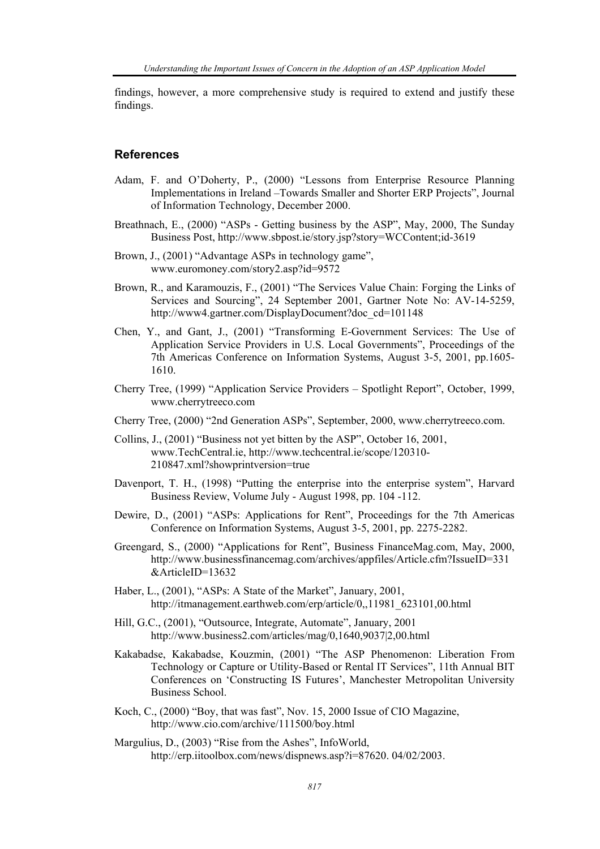findings, however, a more comprehensive study is required to extend and justify these findings.

#### **References**

- Adam, F. and O'Doherty, P., (2000) "Lessons from Enterprise Resource Planning Implementations in Ireland –Towards Smaller and Shorter ERP Projects", Journal of Information Technology, December 2000.
- Breathnach, E., (2000) "ASPs Getting business by the ASP", May, 2000, The Sunday Business Post, http://www.sbpost.ie/story.jsp?story=WCContent;id-3619
- Brown, J., (2001) "Advantage ASPs in technology game", www.euromoney.com/story2.asp?id=9572
- Brown, R., and Karamouzis, F., (2001) "The Services Value Chain: Forging the Links of Services and Sourcing", 24 September 2001, Gartner Note No: AV-14-5259, http://www4.gartner.com/DisplayDocument?doc\_cd=101148
- Chen, Y., and Gant, J., (2001) "Transforming E-Government Services: The Use of Application Service Providers in U.S. Local Governments", Proceedings of the 7th Americas Conference on Information Systems, August 3-5, 2001, pp.1605- 1610.
- Cherry Tree, (1999) "Application Service Providers Spotlight Report", October, 1999, www.cherrytreeco.com
- Cherry Tree, (2000) "2nd Generation ASPs", September, 2000, www.cherrytreeco.com.
- Collins, J., (2001) "Business not yet bitten by the ASP", October 16, 2001, www.TechCentral.ie, http://www.techcentral.ie/scope/120310- 210847.xml?showprintversion=true
- Davenport, T. H., (1998) "Putting the enterprise into the enterprise system", Harvard Business Review, Volume July - August 1998, pp. 104 -112.
- Dewire, D., (2001) "ASPs: Applications for Rent", Proceedings for the 7th Americas Conference on Information Systems, August 3-5, 2001, pp. 2275-2282.
- Greengard, S., (2000) "Applications for Rent", Business FinanceMag.com, May, 2000, http://www.businessfinancemag.com/archives/appfiles/Article.cfm?IssueID=331 &ArticleID=13632
- Haber, L., (2001), "ASPs: A State of the Market", January, 2001, http://itmanagement.earthweb.com/erp/article/0,,11981\_623101,00.html
- Hill, G.C., (2001), "Outsource, Integrate, Automate", January, 2001 http://www.business2.com/articles/mag/0,1640,9037|2,00.html
- Kakabadse, Kakabadse, Kouzmin, (2001) "The ASP Phenomenon: Liberation From Technology or Capture or Utility-Based or Rental IT Services", 11th Annual BIT Conferences on 'Constructing IS Futures', Manchester Metropolitan University Business School.
- Koch, C., (2000) "Boy, that was fast", Nov. 15, 2000 Issue of CIO Magazine, http://www.cio.com/archive/111500/boy.html
- Margulius, D., (2003) "Rise from the Ashes", InfoWorld, http://erp.iitoolbox.com/news/dispnews.asp?i=87620. 04/02/2003.